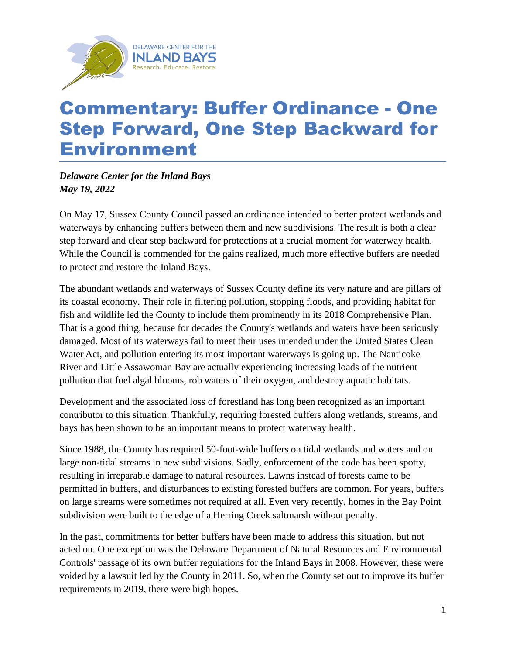

## Commentary: Buffer Ordinance - One Step Forward, One Step Backward for Environment

*Delaware Center for the Inland Bays May 19, 2022*

On May 17, Sussex County Council passed an ordinance intended to better protect wetlands and waterways by enhancing buffers between them and new subdivisions. The result is both a clear step forward and clear step backward for protections at a crucial moment for waterway health. While the Council is commended for the gains realized, much more effective buffers are needed to protect and restore the Inland Bays.

The abundant wetlands and waterways of Sussex County define its very nature and are pillars of its coastal economy. Their role in filtering pollution, stopping floods, and providing habitat for fish and wildlife led the County to include them prominently in its 2018 Comprehensive Plan. That is a good thing, because for decades the County's wetlands and waters have been seriously damaged. Most of its waterways fail to meet their uses intended under the United States Clean Water Act, and pollution entering its most important waterways is going up. The Nanticoke River and Little Assawoman Bay are actually experiencing increasing loads of the nutrient pollution that fuel algal blooms, rob waters of their oxygen, and destroy aquatic habitats.

Development and the associated loss of forestland has long been recognized as an important contributor to this situation. Thankfully, requiring forested buffers along wetlands, streams, and bays has been shown to be an important means to protect waterway health.

Since 1988, the County has required 50-foot-wide buffers on tidal wetlands and waters and on large non-tidal streams in new subdivisions. Sadly, enforcement of the code has been spotty, resulting in irreparable damage to natural resources. Lawns instead of forests came to be permitted in buffers, and disturbances to existing forested buffers are common. For years, buffers on large streams were sometimes not required at all. Even very recently, homes in the Bay Point subdivision were built to the edge of a Herring Creek saltmarsh without penalty.

In the past, commitments for better buffers have been made to address this situation, but not acted on. One exception was the Delaware Department of Natural Resources and Environmental Controls' passage of its own buffer regulations for the Inland Bays in 2008. However, these were voided by a lawsuit led by the County in 2011. So, when the County set out to improve its buffer requirements in 2019, there were high hopes.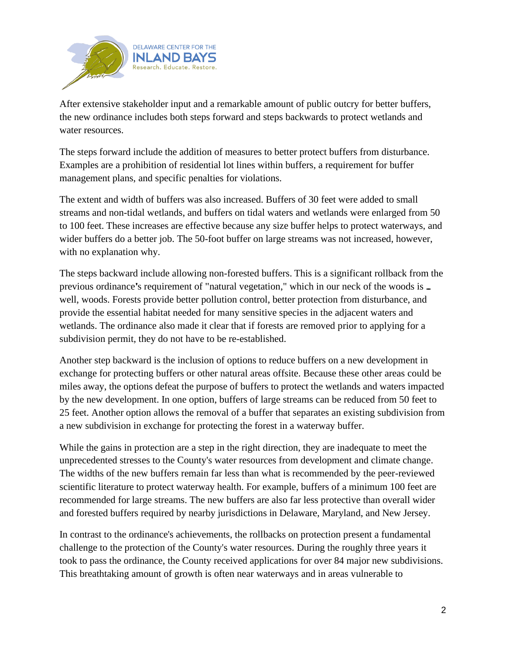

After extensive stakeholder input and a remarkable amount of public outcry for better buffers, the new ordinance includes both steps forward and steps backwards to protect wetlands and water resources.

The steps forward include the addition of measures to better protect buffers from disturbance. Examples are a prohibition of residential lot lines within buffers, a requirement for buffer management plans, and specific penalties for violations.

The extent and width of buffers was also increased. Buffers of 30 feet were added to small streams and non-tidal wetlands, and buffers on tidal waters and wetlands were enlarged from 50 to 100 feet. These increases are effective because any size buffer helps to protect waterways, and wider buffers do a better job. The 50-foot buffer on large streams was not increased, however, with no explanation why.

The steps backward include allowing non-forested buffers. This is a significant rollback from the previous ordinance's requirement of "natural vegetation," which in our neck of the woods is. well, woods. Forests provide better pollution control, better protection from disturbance, and provide the essential habitat needed for many sensitive species in the adjacent waters and wetlands. The ordinance also made it clear that if forests are removed prior to applying for a subdivision permit, they do not have to be re-established.

Another step backward is the inclusion of options to reduce buffers on a new development in exchange for protecting buffers or other natural areas offsite. Because these other areas could be miles away, the options defeat the purpose of buffers to protect the wetlands and waters impacted by the new development. In one option, buffers of large streams can be reduced from 50 feet to 25 feet. Another option allows the removal of a buffer that separates an existing subdivision from a new subdivision in exchange for protecting the forest in a waterway buffer.

While the gains in protection are a step in the right direction, they are inadequate to meet the unprecedented stresses to the County's water resources from development and climate change. The widths of the new buffers remain far less than what is recommended by the peer-reviewed scientific literature to protect waterway health. For example, buffers of a minimum 100 feet are recommended for large streams. The new buffers are also far less protective than overall wider and forested buffers required by nearby jurisdictions in Delaware, Maryland, and New Jersey.

In contrast to the ordinance's achievements, the rollbacks on protection present a fundamental challenge to the protection of the County's water resources. During the roughly three years it took to pass the ordinance, the County received applications for over 84 major new subdivisions. This breathtaking amount of growth is often near waterways and in areas vulnerable to